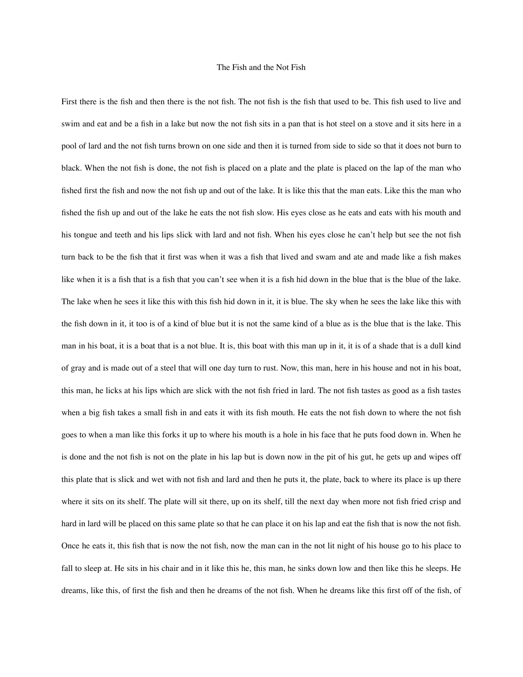## The Fish and the Not Fish

First there is the fish and then there is the not fish. The not fish is the fish that used to be. This fish used to live and swim and eat and be a fish in a lake but now the not fish sits in a pan that is hot steel on a stove and it sits here in a pool of lard and the not fish turns brown on one side and then it is turned from side to side so that it does not burn to black. When the not fish is done, the not fish is placed on a plate and the plate is placed on the lap of the man who fished first the fish and now the not fish up and out of the lake. It is like this that the man eats. Like this the man who fished the fish up and out of the lake he eats the not fish slow. His eyes close as he eats and eats with his mouth and his tongue and teeth and his lips slick with lard and not fish. When his eyes close he can't help but see the not fish turn back to be the fish that it first was when it was a fish that lived and swam and ate and made like a fish makes like when it is a fish that is a fish that you can't see when it is a fish hid down in the blue that is the blue of the lake. The lake when he sees it like this with this fish hid down in it, it is blue. The sky when he sees the lake like this with the fish down in it, it too is of a kind of blue but it is not the same kind of a blue as is the blue that is the lake. This man in his boat, it is a boat that is a not blue. It is, this boat with this man up in it, it is of a shade that is a dull kind of gray and is made out of a steel that will one day turn to rust. Now, this man, here in his house and not in his boat, this man, he licks at his lips which are slick with the not fish fried in lard. The not fish tastes as good as a fish tastes when a big fish takes a small fish in and eats it with its fish mouth. He eats the not fish down to where the not fish goes to when a man like this forks it up to where his mouth is a hole in his face that he puts food down in. When he is done and the not fish is not on the plate in his lap but is down now in the pit of his gut, he gets up and wipes off this plate that is slick and wet with not fish and lard and then he puts it, the plate, back to where its place is up there where it sits on its shelf. The plate will sit there, up on its shelf, till the next day when more not fish fried crisp and hard in lard will be placed on this same plate so that he can place it on his lap and eat the fish that is now the not fish. Once he eats it, this fish that is now the not fish, now the man can in the not lit night of his house go to his place to fall to sleep at. He sits in his chair and in it like this he, this man, he sinks down low and then like this he sleeps. He dreams, like this, of first the fish and then he dreams of the not fish. When he dreams like this first off of the fish, of